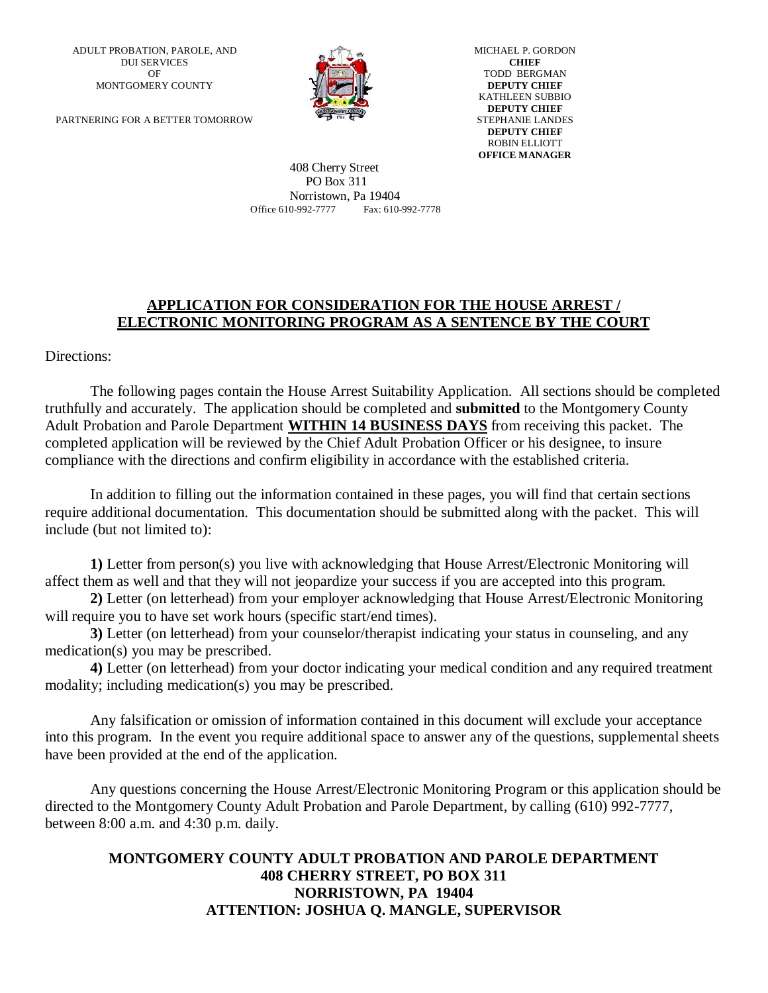ADULT PROBATION, PAROLE, AND DUI SERVICES OF MONTGOMERY COUNTY

PARTNERING FOR A BETTER TOMORROW



MICHAEL P. GORDON **CHIEF** TODD BERGMAN **DEPUTY CHIEF** KATHLEEN SUBBIO **DEPUTY CHIEF** STEPHANIE LANDES **DEPUTY CHIEF** ROBIN ELLIOTT **OFFICE MANAGER**

 408 Cherry Street PO Box 311 Norristown, Pa 19404 Office 610-992-7777 Fax: 610-992-7778

#### **APPLICATION FOR CONSIDERATION FOR THE HOUSE ARREST / ELECTRONIC MONITORING PROGRAM AS A SENTENCE BY THE COURT**

Directions:

The following pages contain the House Arrest Suitability Application. All sections should be completed truthfully and accurately. The application should be completed and **submitted** to the Montgomery County Adult Probation and Parole Department **WITHIN 14 BUSINESS DAYS** from receiving this packet. The completed application will be reviewed by the Chief Adult Probation Officer or his designee, to insure compliance with the directions and confirm eligibility in accordance with the established criteria.

In addition to filling out the information contained in these pages, you will find that certain sections require additional documentation. This documentation should be submitted along with the packet. This will include (but not limited to):

**1)** Letter from person(s) you live with acknowledging that House Arrest/Electronic Monitoring will affect them as well and that they will not jeopardize your success if you are accepted into this program.

**2)** Letter (on letterhead) from your employer acknowledging that House Arrest/Electronic Monitoring will require you to have set work hours (specific start/end times).

**3)** Letter (on letterhead) from your counselor/therapist indicating your status in counseling, and any medication(s) you may be prescribed.

**4)** Letter (on letterhead) from your doctor indicating your medical condition and any required treatment modality; including medication(s) you may be prescribed.

Any falsification or omission of information contained in this document will exclude your acceptance into this program. In the event you require additional space to answer any of the questions, supplemental sheets have been provided at the end of the application.

Any questions concerning the House Arrest/Electronic Monitoring Program or this application should be directed to the Montgomery County Adult Probation and Parole Department, by calling (610) 992-7777, between 8:00 a.m. and 4:30 p.m. daily.

#### **MONTGOMERY COUNTY ADULT PROBATION AND PAROLE DEPARTMENT 408 CHERRY STREET, PO BOX 311 NORRISTOWN, PA 19404 ATTENTION: JOSHUA Q. MANGLE, SUPERVISOR**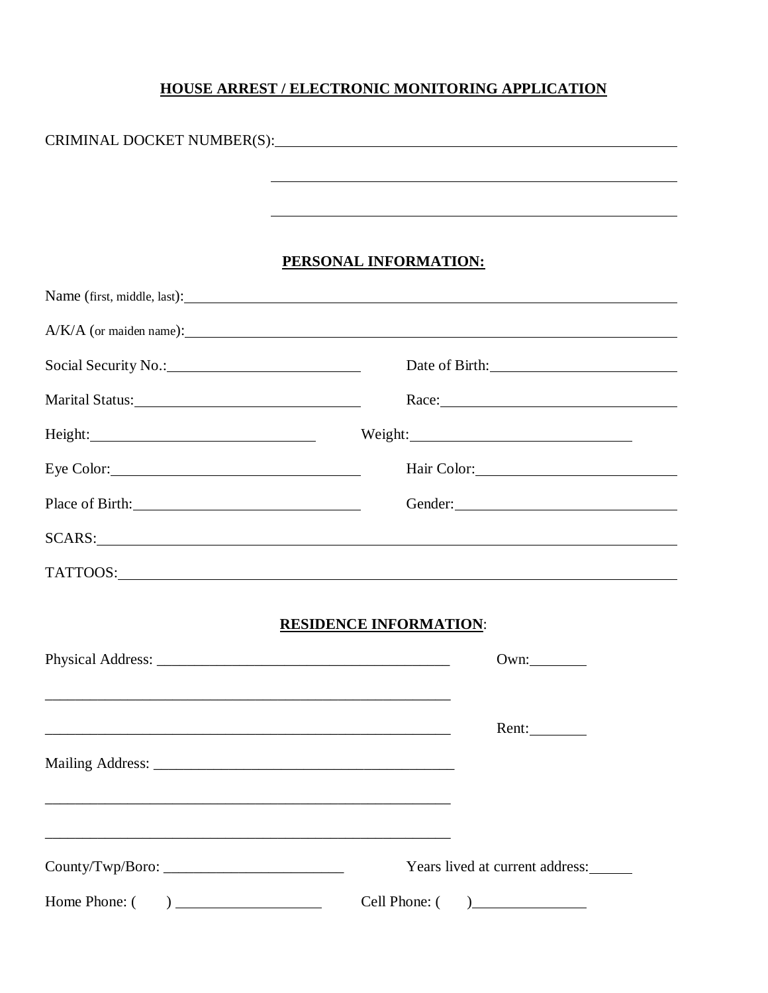# **HOUSE ARREST / ELECTRONIC MONITORING APPLICATION**

|                                                                                                                       | PERSONAL INFORMATION:           |
|-----------------------------------------------------------------------------------------------------------------------|---------------------------------|
|                                                                                                                       |                                 |
|                                                                                                                       | $A/K/A$ (or maiden name):       |
|                                                                                                                       | Date of Birth:                  |
|                                                                                                                       |                                 |
|                                                                                                                       | Weight:                         |
|                                                                                                                       | Hair Color: 1988                |
| Place of Birth: 2000 and 2000 and 2000 and 2000 and 2000 and 2000 and 2000 and 2000 and 2000 and 2000 and 2000        |                                 |
|                                                                                                                       |                                 |
|                                                                                                                       |                                 |
|                                                                                                                       |                                 |
|                                                                                                                       | <b>RESIDENCE INFORMATION:</b>   |
|                                                                                                                       | Own:                            |
|                                                                                                                       |                                 |
| <u> 1989 - Johann Stoff, amerikansk politiker (d. 1989)</u>                                                           | Rent:                           |
|                                                                                                                       |                                 |
|                                                                                                                       |                                 |
| <u> 1989 - Johann Barn, amerikan berkema dan berkema dalam berkema dalam berkema dalam berkema dalam berkema dala</u> |                                 |
| Country/Two/Boro:                                                                                                     | Years lived at current address: |
| Home Phone: $\begin{pmatrix} 1 & 1 \\ 1 & 1 \end{pmatrix}$                                                            | Cell Phone: $($ $)$             |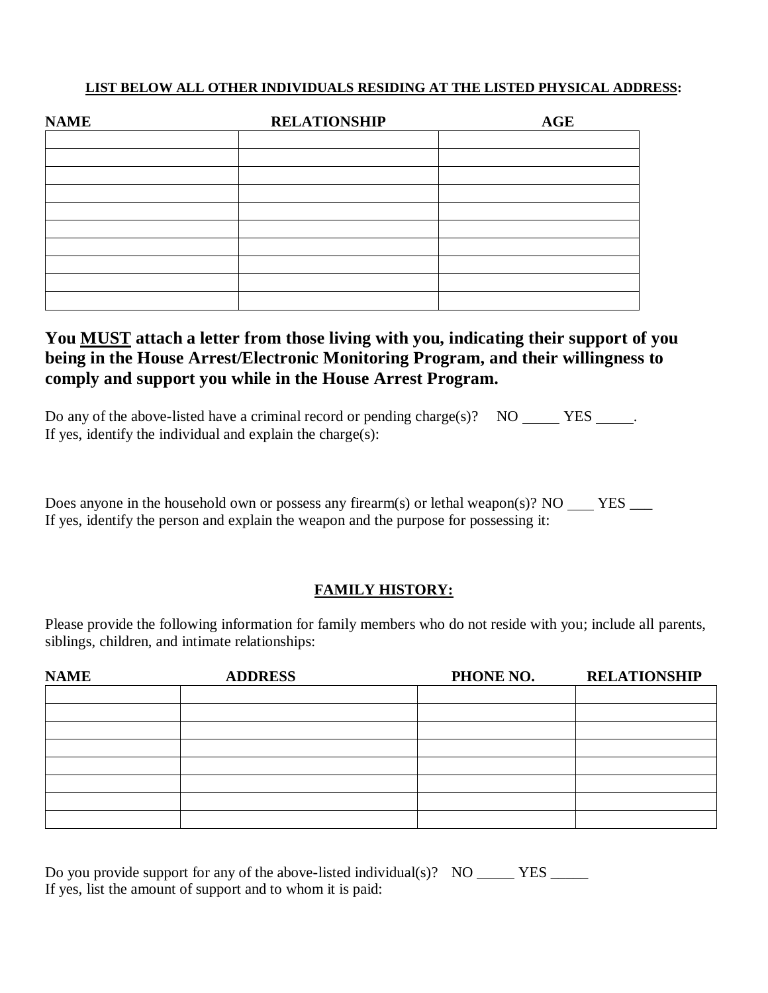## **LIST BELOW ALL OTHER INDIVIDUALS RESIDING AT THE LISTED PHYSICAL ADDRESS:**

| <b>NAME</b> | <b>RELATIONSHIP</b> | <b>AGE</b> |
|-------------|---------------------|------------|
|             |                     |            |
|             |                     |            |
|             |                     |            |
|             |                     |            |
|             |                     |            |
|             |                     |            |
|             |                     |            |
|             |                     |            |
|             |                     |            |
|             |                     |            |

# **You MUST attach a letter from those living with you, indicating their support of you being in the House Arrest/Electronic Monitoring Program, and their willingness to comply and support you while in the House Arrest Program.**

| Do any of the above-listed have a criminal record or pending charge(s)? NO _________________. |  |  |
|-----------------------------------------------------------------------------------------------|--|--|
| If yes, identify the individual and explain the charge(s):                                    |  |  |

Does anyone in the household own or possess any firearm(s) or lethal weapon(s)? NO YES  $\qquad$ If yes, identify the person and explain the weapon and the purpose for possessing it:

# **FAMILY HISTORY:**

Please provide the following information for family members who do not reside with you; include all parents, siblings, children, and intimate relationships:

| <b>NAME</b> | <b>ADDRESS</b> | PHONE NO. | <b>RELATIONSHIP</b> |
|-------------|----------------|-----------|---------------------|
|             |                |           |                     |
|             |                |           |                     |
|             |                |           |                     |
|             |                |           |                     |
|             |                |           |                     |
|             |                |           |                     |
|             |                |           |                     |
|             |                |           |                     |

| Do you provide support for any of the above-listed individual(s)? NO |  |
|----------------------------------------------------------------------|--|
| If yes, list the amount of support and to whom it is paid:           |  |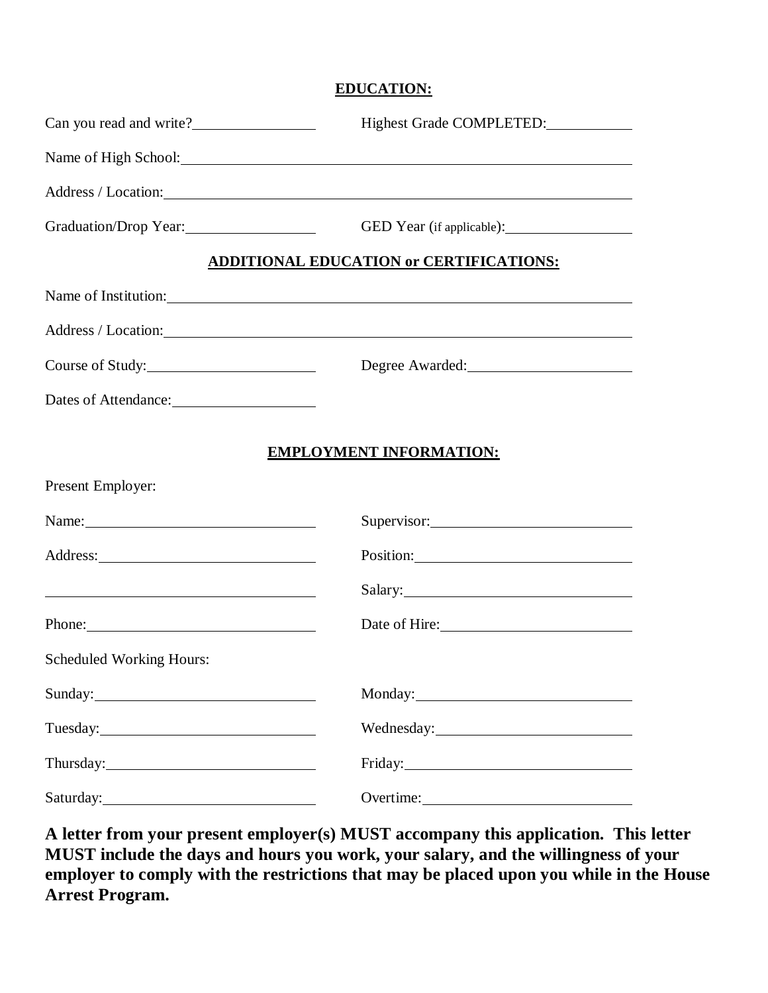#### **EDUCATION:**

| Can you read and write?                                                                                        | Highest Grade COMPLETED:                                                                                                                                                                                                       |
|----------------------------------------------------------------------------------------------------------------|--------------------------------------------------------------------------------------------------------------------------------------------------------------------------------------------------------------------------------|
|                                                                                                                | Name of High School: 2000 and 2000 and 2000 and 2000 and 2000 and 2000 and 2000 and 2000 and 2000 and 2000 and 2000 and 2000 and 2000 and 2000 and 2000 and 2000 and 2000 and 2000 and 2000 and 2000 and 2000 and 2000 and 200 |
|                                                                                                                | Address / Location:                                                                                                                                                                                                            |
| Graduation/Drop Year:                                                                                          |                                                                                                                                                                                                                                |
|                                                                                                                | <b>ADDITIONAL EDUCATION or CERTIFICATIONS:</b>                                                                                                                                                                                 |
|                                                                                                                |                                                                                                                                                                                                                                |
|                                                                                                                | Address / Location: 1986 and 2008 and 2008 and 2008 and 2008 and 2008 and 2008 and 2008 and 2008 and 2008 and 2008 and 2008 and 2008 and 2008 and 2008 and 2008 and 2008 and 2008 and 2008 and 2008 and 2008 and 2008 and 2008 |
| Course of Study:                                                                                               | Degree Awarded:                                                                                                                                                                                                                |
| Dates of Attendance:                                                                                           |                                                                                                                                                                                                                                |
|                                                                                                                | <b>EMPLOYMENT INFORMATION:</b>                                                                                                                                                                                                 |
| Present Employer:                                                                                              |                                                                                                                                                                                                                                |
| Name: Name and Allen and Allen and Allen and Allen and Allen and Allen and Allen and Allen and Allen and Allen |                                                                                                                                                                                                                                |
|                                                                                                                |                                                                                                                                                                                                                                |
| <u> 1988 - Andrea Brand, amerikansk politik (d. 1988)</u>                                                      |                                                                                                                                                                                                                                |
| Phone:                                                                                                         | Date of Hire: 2000 and 2000 and 2000 and 2000 and 2000 and 2000 and 2000 and 2000 and 2000 and 2000 and 2000 and 2000 and 2000 and 2000 and 2000 and 2000 and 2000 and 2000 and 2000 and 2000 and 2000 and 2000 and 2000 and 2 |
| Scheduled Working Hours:                                                                                       |                                                                                                                                                                                                                                |
|                                                                                                                |                                                                                                                                                                                                                                |
|                                                                                                                |                                                                                                                                                                                                                                |
|                                                                                                                | Friday: The Commission of the Commission of the Commission of the Commission of the Commission of the Commission of the Commission of the Commission of the Commission of the Commission of the Commission of the Commission o |
|                                                                                                                |                                                                                                                                                                                                                                |

**A letter from your present employer(s) MUST accompany this application. This letter MUST include the days and hours you work, your salary, and the willingness of your employer to comply with the restrictions that may be placed upon you while in the House Arrest Program.**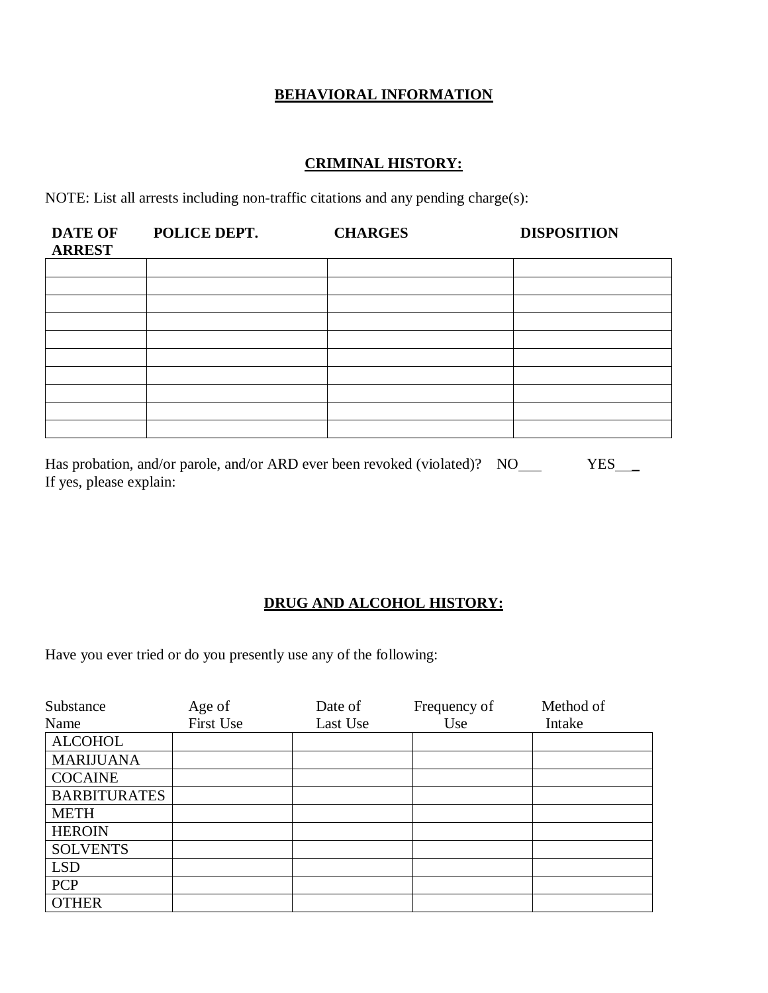# **BEHAVIORAL INFORMATION**

# **CRIMINAL HISTORY:**

NOTE: List all arrests including non-traffic citations and any pending charge(s):

| <b>DATE OF</b><br><b>ARREST</b> | POLICE DEPT. | <b>CHARGES</b> | <b>DISPOSITION</b> |
|---------------------------------|--------------|----------------|--------------------|
|                                 |              |                |                    |
|                                 |              |                |                    |
|                                 |              |                |                    |
|                                 |              |                |                    |
|                                 |              |                |                    |
|                                 |              |                |                    |
|                                 |              |                |                    |
|                                 |              |                |                    |
|                                 |              |                |                    |
|                                 |              |                |                    |

| Has probation, and/or parole, and/or ARD ever been revoked (violated)? NO | <b>YES</b> |
|---------------------------------------------------------------------------|------------|
| If yes, please explain:                                                   |            |

## **DRUG AND ALCOHOL HISTORY:**

Have you ever tried or do you presently use any of the following:

| Substance           | Age of    | Date of  | Frequency of | Method of |
|---------------------|-----------|----------|--------------|-----------|
| Name                | First Use | Last Use | Use          | Intake    |
| <b>ALCOHOL</b>      |           |          |              |           |
| <b>MARIJUANA</b>    |           |          |              |           |
| <b>COCAINE</b>      |           |          |              |           |
| <b>BARBITURATES</b> |           |          |              |           |
| <b>METH</b>         |           |          |              |           |
| <b>HEROIN</b>       |           |          |              |           |
| <b>SOLVENTS</b>     |           |          |              |           |
| <b>LSD</b>          |           |          |              |           |
| PCP                 |           |          |              |           |
| <b>OTHER</b>        |           |          |              |           |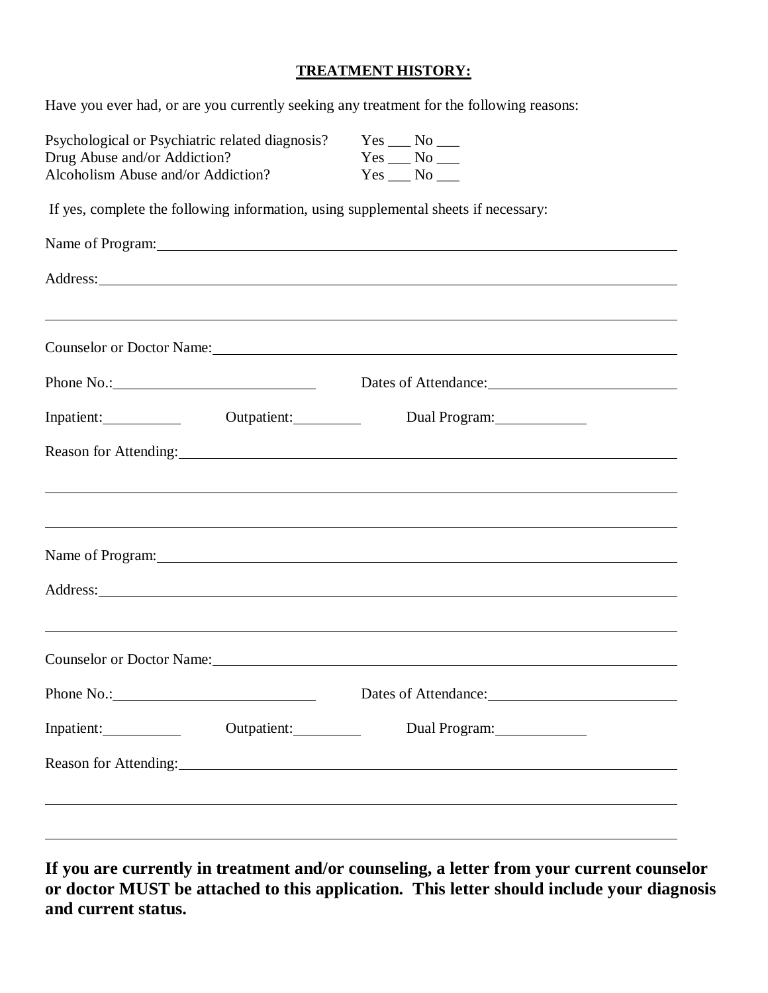#### **TREATMENT HISTORY:**

Have you ever had, or are you currently seeking any treatment for the following reasons:

| Psychological or Psychiatric related diagnosis?                                     |             |  | $Yes \_\_No \_\_$                                                                                                                                                                                                              |  |  |
|-------------------------------------------------------------------------------------|-------------|--|--------------------------------------------------------------------------------------------------------------------------------------------------------------------------------------------------------------------------------|--|--|
| Drug Abuse and/or Addiction?                                                        |             |  | $Yes \_\_No \_\_$                                                                                                                                                                                                              |  |  |
| Alcoholism Abuse and/or Addiction?                                                  |             |  | $Yes \_\_No \_\_$                                                                                                                                                                                                              |  |  |
| If yes, complete the following information, using supplemental sheets if necessary: |             |  |                                                                                                                                                                                                                                |  |  |
|                                                                                     |             |  | Name of Program: 1988 and 2008 and 2008 and 2008 and 2008 and 2008 and 2008 and 2008 and 2008 and 2008 and 200                                                                                                                 |  |  |
|                                                                                     |             |  |                                                                                                                                                                                                                                |  |  |
|                                                                                     |             |  | ,我们也不会有什么。""我们的人,我们也不会有什么?""我们的人,我们也不会有什么?""我们的人,我们也不会有什么?""我们的人,我们也不会有什么?""我们的人                                                                                                                                               |  |  |
|                                                                                     |             |  | Counselor or Doctor Name: 1988                                                                                                                                                                                                 |  |  |
|                                                                                     |             |  | Dates of Attendance:                                                                                                                                                                                                           |  |  |
| Inpatient:                                                                          | Outpatient: |  | Dual Program:                                                                                                                                                                                                                  |  |  |
|                                                                                     |             |  | Reason for Attending: 1990 and 2000 and 2000 and 2000 and 2000 and 2000 and 2000 and 2000 and 2000 and 2000 and 2000 and 2000 and 2000 and 2000 and 2000 and 2000 and 2000 and 2000 and 2000 and 2000 and 2000 and 2000 and 20 |  |  |
|                                                                                     |             |  |                                                                                                                                                                                                                                |  |  |
|                                                                                     |             |  | ,我们也不会有什么。""我们的人,我们也不会有什么?""我们的人,我们也不会有什么?""我们的人,我们也不会有什么?""我们的人,我们也不会有什么?""我们的人                                                                                                                                               |  |  |
|                                                                                     |             |  | Name of Program: 1988 and 2008 and 2008 and 2008 and 2008 and 2008 and 2008 and 2008 and 2008 and 2008 and 200                                                                                                                 |  |  |
|                                                                                     |             |  |                                                                                                                                                                                                                                |  |  |
|                                                                                     |             |  | ,我们也不会有什么。""我们的人,我们也不会有什么?""我们的人,我们也不会有什么?""我们的人,我们也不会有什么?""我们的人,我们也不会有什么?""我们的人                                                                                                                                               |  |  |
|                                                                                     |             |  |                                                                                                                                                                                                                                |  |  |
|                                                                                     |             |  |                                                                                                                                                                                                                                |  |  |
| Inpatient:                                                                          | Outpatient: |  | Dual Program:                                                                                                                                                                                                                  |  |  |
|                                                                                     |             |  |                                                                                                                                                                                                                                |  |  |
|                                                                                     |             |  |                                                                                                                                                                                                                                |  |  |
|                                                                                     |             |  |                                                                                                                                                                                                                                |  |  |

**If you are currently in treatment and/or counseling, a letter from your current counselor or doctor MUST be attached to this application. This letter should include your diagnosis and current status.**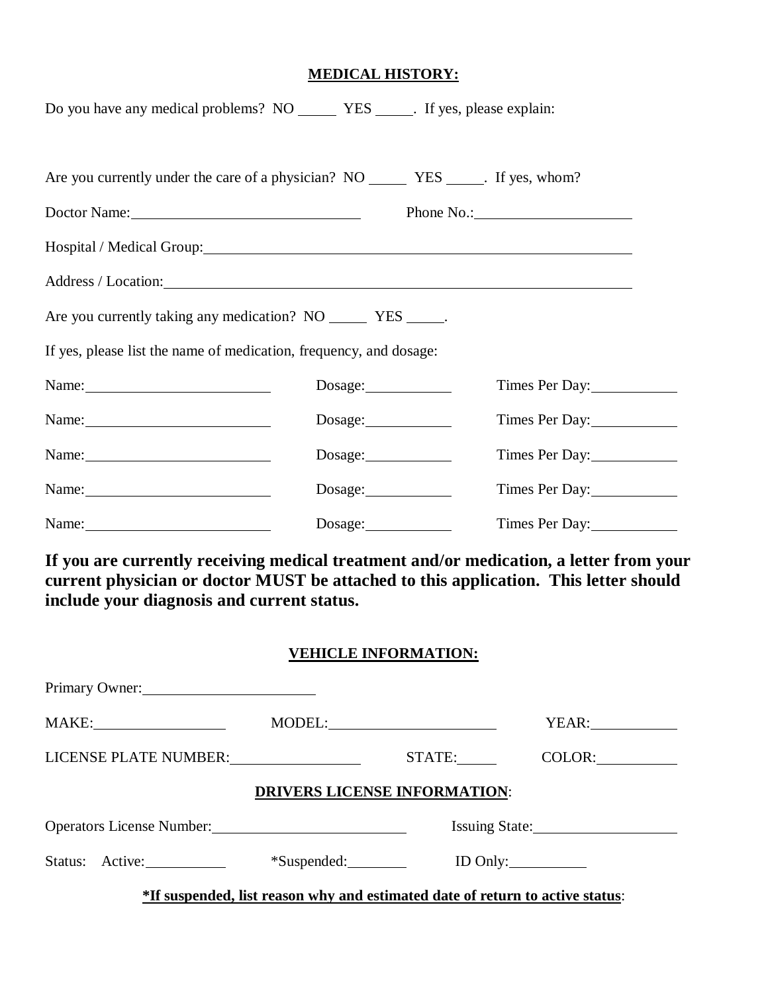#### **MEDICAL HISTORY:**

| Doctor Name: 2008. [2010]                                                                                      |         |         |                |
|----------------------------------------------------------------------------------------------------------------|---------|---------|----------------|
| Hospital / Medical Group: 1997 and 1997 and 1998 and 1997 and 1998 and 1997 and 1998 and 1998 and 1998 and 199 |         |         |                |
|                                                                                                                |         |         |                |
| Are you currently taking any medication? NO _________ YES ______.                                              |         |         |                |
| If yes, please list the name of medication, frequency, and dosage:                                             |         |         |                |
| Name: $\frac{1}{2}$ Name:                                                                                      |         | Dosage: | Times Per Day: |
| Name: $\frac{1}{2}$ Name:                                                                                      |         |         | Times Per Day: |
| Name: $\frac{1}{2}$ Name:                                                                                      | Dosage: |         | Times Per Day: |
|                                                                                                                |         | Dosage: | Times Per Day: |
|                                                                                                                | Dosage: |         | Times Per Day: |

**If you are currently receiving medical treatment and/or medication, a letter from your current physician or doctor MUST be attached to this application. This letter should include your diagnosis and current status.**

#### **VEHICLE INFORMATION:**

| Primary Owner:                 |               |                                     |                |
|--------------------------------|---------------|-------------------------------------|----------------|
|                                |               |                                     | YEAR:          |
| LICENSE PLATE NUMBER:          |               | STATE:                              | COLOR:         |
|                                |               | <b>DRIVERS LICENSE INFORMATION:</b> |                |
| Operators License Number: 2008 |               |                                     | Issuing State: |
| Status: Active:                | $*Suspended:$ |                                     | ID Only:       |
|                                |               |                                     |                |

**\*If suspended, list reason why and estimated date of return to active status**: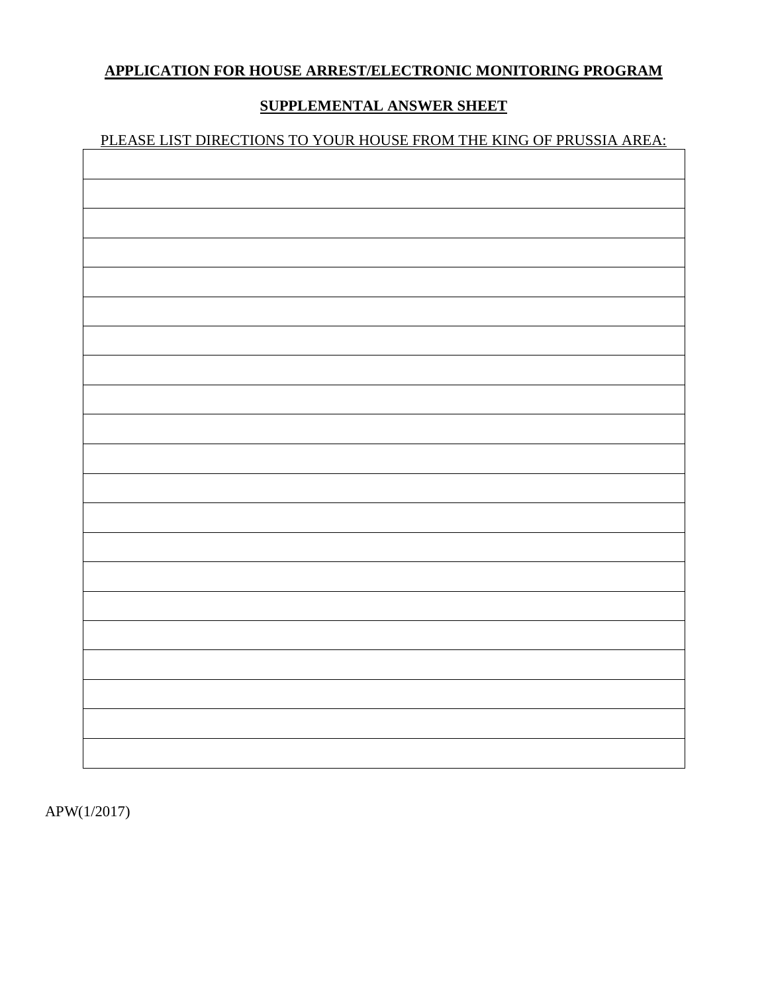# **APPLICATION FOR HOUSE ARREST/ELECTRONIC MONITORING PROGRAM**

# **SUPPLEMENTAL ANSWER SHEET**

# PLEASE LIST DIRECTIONS TO YOUR HOUSE FROM THE KING OF PRUSSIA AREA:

APW(1/2017)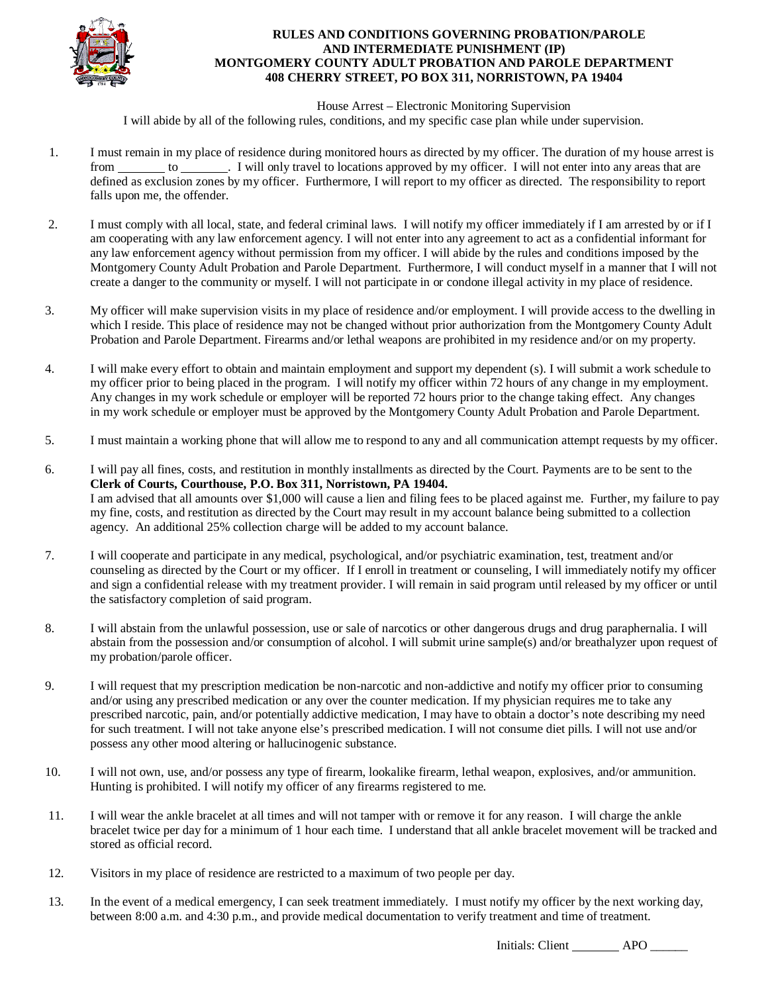

#### **RULES AND CONDITIONS GOVERNING PROBATION/PAROLE AND INTERMEDIATE PUNISHMENT (IP) MONTGOMERY COUNTY ADULT PROBATION AND PAROLE DEPARTMENT 408 CHERRY STREET, PO BOX 311, NORRISTOWN, PA 19404**

#### House Arrest – Electronic Monitoring Supervision

I will abide by all of the following rules, conditions, and my specific case plan while under supervision.

- 1. I must remain in my place of residence during monitored hours as directed by my officer. The duration of my house arrest is from to . I will only travel to locations approved by my officer. I will not enter into any areas that are defined as exclusion zones by my officer. Furthermore, I will report to my officer as directed. The responsibility to report falls upon me, the offender.
- 2. I must comply with all local, state, and federal criminal laws. I will notify my officer immediately if I am arrested by or if I am cooperating with any law enforcement agency. I will not enter into any agreement to act as a confidential informant for any law enforcement agency without permission from my officer. I will abide by the rules and conditions imposed by the Montgomery County Adult Probation and Parole Department. Furthermore, I will conduct myself in a manner that I will not create a danger to the community or myself. I will not participate in or condone illegal activity in my place of residence.
- 3. My officer will make supervision visits in my place of residence and/or employment. I will provide access to the dwelling in which I reside. This place of residence may not be changed without prior authorization from the Montgomery County Adult Probation and Parole Department. Firearms and/or lethal weapons are prohibited in my residence and/or on my property.
- 4. I will make every effort to obtain and maintain employment and support my dependent (s). I will submit a work schedule to my officer prior to being placed in the program. I will notify my officer within 72 hours of any change in my employment. Any changes in my work schedule or employer will be reported 72 hours prior to the change taking effect. Any changes in my work schedule or employer must be approved by the Montgomery County Adult Probation and Parole Department.
- 5. I must maintain a working phone that will allow me to respond to any and all communication attempt requests by my officer.
- 6. I will pay all fines, costs, and restitution in monthly installments as directed by the Court. Payments are to be sent to the **Clerk of Courts, Courthouse, P.O. Box 311, Norristown, PA 19404.** I am advised that all amounts over \$1,000 will cause a lien and filing fees to be placed against me. Further, my failure to pay my fine, costs, and restitution as directed by the Court may result in my account balance being submitted to a collection agency. An additional 25% collection charge will be added to my account balance.
- 7. I will cooperate and participate in any medical, psychological, and/or psychiatric examination, test, treatment and/or counseling as directed by the Court or my officer. If I enroll in treatment or counseling, I will immediately notify my officer and sign a confidential release with my treatment provider. I will remain in said program until released by my officer or until the satisfactory completion of said program.
- 8. I will abstain from the unlawful possession, use or sale of narcotics or other dangerous drugs and drug paraphernalia. I will abstain from the possession and/or consumption of alcohol. I will submit urine sample(s) and/or breathalyzer upon request of my probation/parole officer.
- 9. I will request that my prescription medication be non-narcotic and non-addictive and notify my officer prior to consuming and/or using any prescribed medication or any over the counter medication. If my physician requires me to take any prescribed narcotic, pain, and/or potentially addictive medication, I may have to obtain a doctor's note describing my need for such treatment. I will not take anyone else's prescribed medication. I will not consume diet pills. I will not use and/or possess any other mood altering or hallucinogenic substance.
- 10. I will not own, use, and/or possess any type of firearm, lookalike firearm, lethal weapon, explosives, and/or ammunition. Hunting is prohibited. I will notify my officer of any firearms registered to me.
- 11. I will wear the ankle bracelet at all times and will not tamper with or remove it for any reason. I will charge the ankle bracelet twice per day for a minimum of 1 hour each time. I understand that all ankle bracelet movement will be tracked and stored as official record.
- 12. Visitors in my place of residence are restricted to a maximum of two people per day.
- 13. In the event of a medical emergency, I can seek treatment immediately. I must notify my officer by the next working day, between 8:00 a.m. and 4:30 p.m., and provide medical documentation to verify treatment and time of treatment.